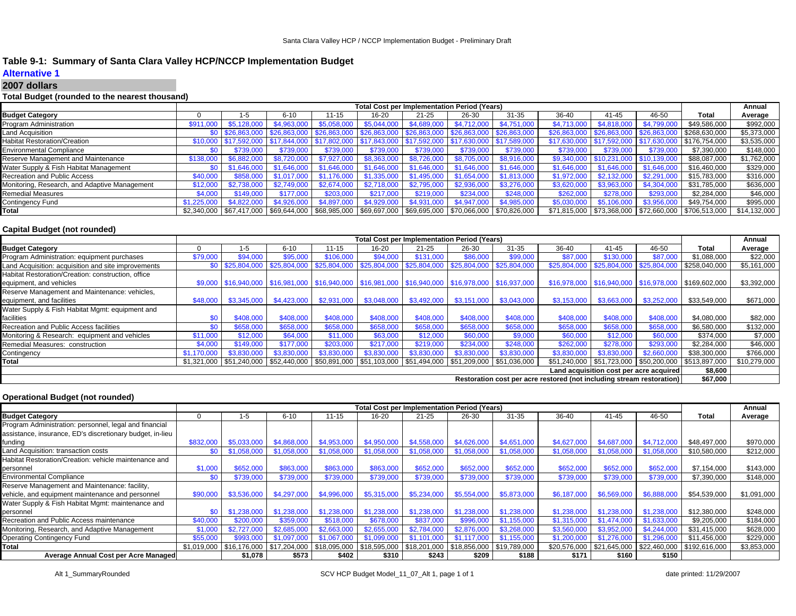# **Table 9-1: Summary of Santa Clara Valley HCP/NCCP Implementation Budget**

# **Alternative 1**

#### **2007 dollars**

### **Total Budget (rounded to the nearest thousand)**

|                                               |             |             |                                                                                                |             |             | <b>Total Cost per Implementation Period (Years)</b> |             |                                                                                                                              |              |                           |              |                                                            | Annual       |
|-----------------------------------------------|-------------|-------------|------------------------------------------------------------------------------------------------|-------------|-------------|-----------------------------------------------------|-------------|------------------------------------------------------------------------------------------------------------------------------|--------------|---------------------------|--------------|------------------------------------------------------------|--------------|
| <b>Budget Category</b>                        |             | 1-5         | $6 - 10$                                                                                       | $11 - 15$   | 16-20       | $21 - 25$                                           | 26-30       | $31 - 35$                                                                                                                    | 36-40        | 41-45                     | 46-50        | Total                                                      | Average      |
| Program Administration                        | \$911       | \$5,128,00  | \$4.963,000                                                                                    | \$5,058,000 | \$5,044,000 | \$4,689,000                                         | \$4,712,000 | \$4,751,000                                                                                                                  | \$4,713,000  |                           | \$4,799,000  | \$49,586,000                                               | \$992,000    |
| Land Acquisition                              |             |             | \$0 \$26,863,000 \$26,863,000 \$26,863,000 \$26,863,000 \$26,863,000 \$26,863,000 \$26,863,000 |             |             |                                                     |             |                                                                                                                              | \$26,863,000 | \$26,863,000 \$26,863,000 |              | \$268,630,000                                              | \$5,373,000  |
| <b>Habitat Restoration/Creation</b>           |             |             | \$10,000 \$17,592,000 \$17,844,000 \$17,802,000 \$17,843,000 \$17,592,000 \$17,630,000         |             |             |                                                     |             | $9 \frac{1}{1}$ \$17,589,000                                                                                                 |              | \$17,630,000 \$17,592,000 | \$17,630,000 | $\frac{1}{2}$ \$176,754,000                                | \$3,535,000  |
| <b>Environmental Compliance</b>               | \$0         | \$739,000   | \$739,000                                                                                      | \$739,000   | \$739,000   | \$739,000                                           | \$739,000   | \$739,000                                                                                                                    | \$739,000    | \$739,000                 | \$739,000    | \$7,390,000                                                | \$148,000    |
| Reserve Management and Maintenance            | \$138,000   | \$6.882.000 | \$8,720,000                                                                                    | \$7,927,000 | \$8,363,000 | \$8,726,000                                         | \$8,705,000 | \$8,916,000                                                                                                                  | \$9,340,000  | \$10,231,000 \$10,139,000 |              | \$88,087,000                                               | \$1,762,000  |
| Water Supply & Fish Habitat Management        | \$በ         | \$1,646,000 | \$1,646,000                                                                                    | \$1,646,000 | \$1,646,000 | \$1,646,000                                         | \$1,646,000 | \$1,646,000                                                                                                                  | \$1.646,000  | \$1,646,000               | \$1,646,000  | \$16,460,000                                               | \$329,000    |
| Recreation and Public Access                  | \$40,000    | \$858,000   | \$1,017,000                                                                                    | \$1.176.000 | \$1,335,000 | \$1,495,000                                         | \$1,654,000 | \$1.813.000                                                                                                                  | \$1.972,000  |                           | \$2,291,000  | \$15,783,000                                               | \$316,000    |
| Monitoring, Research, and Adaptive Management | \$12,000    | \$2.738.000 | \$2.749.000                                                                                    | \$2,674,000 | \$2.718.000 | \$2.795,000                                         | \$2,936,000 | \$3,276,000                                                                                                                  | \$3.620,000  | \$3.963.000               | \$4,304,000  | \$31.785.000                                               | \$636,000    |
| <b>Remedial Measures</b>                      | \$4,000     | \$149,000   | \$177,000                                                                                      | \$203,000   | \$217,000   | \$219,000                                           | \$234.000   | \$248,000                                                                                                                    | \$262,000    | \$278,000                 | \$293,000    | \$2.284.000                                                | \$46,000     |
| Contingency Fund                              | \$1,225,000 | \$4,822,000 | \$4,926,000                                                                                    | \$4,897,000 | \$4,929,000 | \$4,931,000                                         | \$4,947,000 | \$4,985,000                                                                                                                  | \$5,030,000  | \$5,106,000               | \$3,956,000  | \$49,754,000                                               | \$995,000    |
| Total                                         |             |             |                                                                                                |             |             |                                                     |             | $$2,340,000$   $$67,417,000$   $$69,644,000$   $$68,985,000$   $$69,697,000$   $$69,695,000$   $$70,066,000$   $$70,826,000$ |              |                           |              | \$71,815,000   \$73,368,000   \$72,660,000   \$706,513,000 | \$14,132,000 |

### **Capital Budget (not rounded)**

|                                                                       |             |             |                                                                                                                |             |             | <b>Total Cost per Implementation Period (Years)</b> |             |             |              |                                                      |             |                                                            | Annual       |
|-----------------------------------------------------------------------|-------------|-------------|----------------------------------------------------------------------------------------------------------------|-------------|-------------|-----------------------------------------------------|-------------|-------------|--------------|------------------------------------------------------|-------------|------------------------------------------------------------|--------------|
| <b>Budget Category</b>                                                |             | 1-5         | $6 - 10$                                                                                                       | $11 - 15$   | 16-20       | $21 - 25$                                           | 26-30       | $31 - 35$   | 36-40        | $41 - 45$                                            | 46-50       | Total                                                      | Average      |
| Program Administration: equipment purchases                           | \$79,000    | \$94,000    | \$95,000                                                                                                       | \$106,000   | \$94,000    | \$131,000                                           | \$86,000    | \$99,000    | \$87,000     | \$130.000                                            | \$87,00     | \$1,088,000                                                | \$22,000     |
| Land Acquisition: acquisition and site improvements                   | \$0         |             | \$25,804,000 \$25,804,000 \$25,804,000 \$25,804,000 \$25,804,000 \$25,804,000 \$25,804,000                     |             |             |                                                     |             |             | \$25,804,000 | \$25,804,000 \$25,804,000 \$258,040,000              |             |                                                            | \$5,161,000  |
| Habitat Restoration/Creation: construction, office                    |             |             |                                                                                                                |             |             |                                                     |             |             |              |                                                      |             |                                                            |              |
| equipment, and vehicles                                               |             |             | \$9,000 \$16,940,000 \$16,981,000 \$16,940,000 \$16,981,000 \$16,940,000 \$16,978,000 \$16,937,000             |             |             |                                                     |             |             |              | \$16,978,000 \$16,940,000 \$16,978,000 \$169,602,000 |             |                                                            | \$3,392,000  |
| Reserve Management and Maintenance: vehicles,                         |             |             |                                                                                                                |             |             |                                                     |             |             |              |                                                      |             |                                                            |              |
| equipment, and facilities                                             | \$48,000    | \$3,345,000 | \$4,423,000                                                                                                    |             |             | $$2,931,000$ $$3,048,000$ $$3,492,000$ $$3,151,000$ |             | \$3,043,000 | \$3,153,000  | \$3,663,000                                          | \$3,252,000 | \$33,549,000                                               | \$671,000    |
| Water Supply & Fish Habitat Mgmt: equipment and                       |             |             |                                                                                                                |             |             |                                                     |             |             |              |                                                      |             |                                                            |              |
| facilities                                                            | \$0         | \$408,000   | \$408,000                                                                                                      | \$408,000   | \$408,000   | \$408,000                                           | \$408,000   | \$408,000   | \$408,000    | \$408,000                                            | \$408,000   | \$4,080,000                                                | \$82,000     |
| Recreation and Public Access facilities                               | \$0         | \$658,000   | \$658,000                                                                                                      | \$658,000   | \$658,000   | \$658,000                                           | \$658,000   | \$658,000   | \$658,000    | \$658,000                                            | \$658,000   | \$6,580,000                                                | \$132,000    |
| Monitoring & Research: equipment and vehicles                         | \$11,000    | \$12,000    | \$64,000                                                                                                       | \$11,000    | \$63,000    | \$12,000                                            | \$60,000    | \$9,000     | \$60,000     | \$12,000                                             | \$60,000    | \$374,000                                                  | \$7,000      |
| Remedial Measures: construction                                       | \$4,000     | \$149,000   | \$177,000                                                                                                      | \$203,000   | \$217,000   | \$219,000                                           | \$234.000   | \$248,000   | \$262,000    | \$278,000                                            | \$293,000   | \$2,284,000                                                | \$46,000     |
| Contingency                                                           | \$1.170.000 | \$3,830,000 | \$3,830,000                                                                                                    | \$3,830,000 | \$3,830,000 | \$3,830,000                                         | \$3,830,000 | \$3,830,000 | \$3,830,000  | \$3,830,000                                          | \$2,660,000 | \$38,300,000                                               | \$766,000    |
| Total                                                                 |             |             | $$1,321,000$ $$51,240,000$ $$52,440,000$ $$50,891,000$ $$51,103,000$ $$51,494,000$ $$51,209,000$ $$51,036,000$ |             |             |                                                     |             |             |              |                                                      |             | \$51,240,000   \$51,723,000   \$50,200,000   \$513,897,000 | \$10,279,000 |
| Land acquisition cost per acre acquired                               |             |             |                                                                                                                |             |             |                                                     |             |             |              |                                                      |             |                                                            |              |
| Restoration cost per acre restored (not including stream restoration) |             |             |                                                                                                                |             |             |                                                     |             |             |              |                                                      |             | \$67,000                                                   |              |

### **Operational Budget (not rounded)**

|                                                           | <b>Total Cost per Implementation Period (Years)</b><br>$31 - 35$<br>36-40<br>46-50<br>$6 - 10$<br>11-15<br>16-20<br>$21 - 25$<br>26-30<br>41-45<br>1-5<br>\$4,953,000<br>\$4.868,000<br>\$4,950,000<br>\$4,558,000 \$4,626,000<br>\$4,651,000<br>\$4,687,000<br>\$4,712,000<br>\$832,000<br>\$5,033,000<br>\$4,627,000<br>\$1,058,000<br>\$1,058,000<br>\$1,058,000<br>\$1,058,000<br>\$1,058,000<br>\$1,058,000<br>\$1,058,000<br>\$0<br>\$1.058.000<br>\$1,058,000<br>\$1,058,000<br>\$863,000<br>\$863,000<br>\$652,000<br>\$1,000<br>\$652,000<br>\$863,000<br>\$652,000<br>\$652,000<br>\$652,000<br>\$652,000<br>\$652,000<br>\$0<br>\$739,000<br>\$739,000<br>\$739,000<br>\$739,000<br>\$739,000<br>\$739,000<br>\$739,000<br>\$739,000<br>\$739,000<br>\$739,000<br>\$3,536,000<br>\$4,996,000<br>\$5,315,000<br>\$5,234,000 \$5,554,000<br>\$5,873,000<br>\$6,569,000<br>\$6,888,000<br>\$4,297,000<br>\$6,187,000<br>\$90,000<br>\$1.238.000 \$1.238.000 |                                           |             |             |                                                                  |               |             |             |              | Annual      |                                             |              |             |
|-----------------------------------------------------------|---------------------------------------------------------------------------------------------------------------------------------------------------------------------------------------------------------------------------------------------------------------------------------------------------------------------------------------------------------------------------------------------------------------------------------------------------------------------------------------------------------------------------------------------------------------------------------------------------------------------------------------------------------------------------------------------------------------------------------------------------------------------------------------------------------------------------------------------------------------------------------------------------------------------------------------------------------------------|-------------------------------------------|-------------|-------------|------------------------------------------------------------------|---------------|-------------|-------------|--------------|-------------|---------------------------------------------|--------------|-------------|
| <b>Budget Category</b>                                    |                                                                                                                                                                                                                                                                                                                                                                                                                                                                                                                                                                                                                                                                                                                                                                                                                                                                                                                                                                     |                                           |             |             |                                                                  |               |             |             |              |             |                                             | Total        | Average     |
| Program Administration: personnel, legal and financial    |                                                                                                                                                                                                                                                                                                                                                                                                                                                                                                                                                                                                                                                                                                                                                                                                                                                                                                                                                                     |                                           |             |             |                                                                  |               |             |             |              |             |                                             |              |             |
| assistance, insurance, ED's discretionary budget, in-lieu |                                                                                                                                                                                                                                                                                                                                                                                                                                                                                                                                                                                                                                                                                                                                                                                                                                                                                                                                                                     |                                           |             |             |                                                                  |               |             |             |              |             |                                             |              |             |
| funding                                                   |                                                                                                                                                                                                                                                                                                                                                                                                                                                                                                                                                                                                                                                                                                                                                                                                                                                                                                                                                                     |                                           |             |             |                                                                  |               |             |             |              |             |                                             | \$48,497,000 | \$970,000   |
| Land Acquisition: transaction costs                       |                                                                                                                                                                                                                                                                                                                                                                                                                                                                                                                                                                                                                                                                                                                                                                                                                                                                                                                                                                     |                                           |             |             |                                                                  |               |             |             |              |             |                                             | \$10,580,000 | \$212,000   |
| Habitat Restoration/Creation: vehicle maintenance and     |                                                                                                                                                                                                                                                                                                                                                                                                                                                                                                                                                                                                                                                                                                                                                                                                                                                                                                                                                                     |                                           |             |             |                                                                  |               |             |             |              |             |                                             |              |             |
| personnel                                                 |                                                                                                                                                                                                                                                                                                                                                                                                                                                                                                                                                                                                                                                                                                                                                                                                                                                                                                                                                                     |                                           |             |             |                                                                  |               |             |             |              |             |                                             | \$7,154,000  | \$143,000   |
| <b>Environmental Compliance</b>                           |                                                                                                                                                                                                                                                                                                                                                                                                                                                                                                                                                                                                                                                                                                                                                                                                                                                                                                                                                                     |                                           |             |             |                                                                  |               |             |             |              |             |                                             | \$7,390,000  | \$148,000   |
| Reserve Management and Maintenance: facility,             |                                                                                                                                                                                                                                                                                                                                                                                                                                                                                                                                                                                                                                                                                                                                                                                                                                                                                                                                                                     |                                           |             |             |                                                                  |               |             |             |              |             |                                             |              |             |
| vehicle, and equipment maintenance and personnel          |                                                                                                                                                                                                                                                                                                                                                                                                                                                                                                                                                                                                                                                                                                                                                                                                                                                                                                                                                                     |                                           |             |             |                                                                  |               |             |             |              |             |                                             | \$54,539,000 | \$1,091,000 |
| Water Supply & Fish Habitat Mgmt: maintenance and         |                                                                                                                                                                                                                                                                                                                                                                                                                                                                                                                                                                                                                                                                                                                                                                                                                                                                                                                                                                     |                                           |             |             |                                                                  |               |             |             |              |             |                                             |              |             |
| personnel                                                 | \$0                                                                                                                                                                                                                                                                                                                                                                                                                                                                                                                                                                                                                                                                                                                                                                                                                                                                                                                                                                 | \$1,238,000                               | \$1.238.000 | \$1,238,000 | \$1,238,000                                                      |               |             | \$1,238,000 | \$1,238,000  | \$1,238,000 | \$1,238,000                                 | \$12,380,000 | \$248,000   |
| Recreation and Public Access maintenance                  | \$40,000                                                                                                                                                                                                                                                                                                                                                                                                                                                                                                                                                                                                                                                                                                                                                                                                                                                                                                                                                            | \$200,000                                 | \$359,000   | \$518,000   | \$678,000                                                        | \$837,000     | \$996,000   | \$1,155,000 | \$1,315,00   | .474.000    | \$1.633.000                                 | \$9,205,000  | \$184,000   |
| Monitoring, Research, and Adaptive Management             | \$1,000                                                                                                                                                                                                                                                                                                                                                                                                                                                                                                                                                                                                                                                                                                                                                                                                                                                                                                                                                             | \$2,727,000                               | \$2,685,000 | \$2,663,000 | \$2,655,000                                                      | \$2,784,000   | \$2,876,000 | \$3,268,000 | \$3,560,000  | \$3,952,000 | \$4,244,000                                 | \$31,415,000 | \$628,000   |
| <b>Operating Contingency Fund</b>                         | \$55,000                                                                                                                                                                                                                                                                                                                                                                                                                                                                                                                                                                                                                                                                                                                                                                                                                                                                                                                                                            | \$993.000                                 | \$1.097.000 | \$1,067,000 | \$1.099.000                                                      | \$1.101.000 l | \$1,117,000 | \$1,155,000 | \$1,200,000  | \$1,276,000 | \$1,296,000                                 | \$11.456.000 | \$229,000   |
| <b>Total</b>                                              |                                                                                                                                                                                                                                                                                                                                                                                                                                                                                                                                                                                                                                                                                                                                                                                                                                                                                                                                                                     | \$1,019,000   \$16,176,000   \$17,204,000 |             |             | \$18,095,000 \$18,595,000 \$18,201,000 \$18,856,000 \$19,789,000 |               |             |             | \$20,576,000 |             | \$21,645,000   \$22,460,000   \$192,616,000 |              | \$3,853,000 |
| Average Annual Cost per Acre Managed                      |                                                                                                                                                                                                                                                                                                                                                                                                                                                                                                                                                                                                                                                                                                                                                                                                                                                                                                                                                                     | \$1.078                                   | \$573       | \$402       | \$310                                                            | \$243         | \$209       | \$188       | \$171        | \$160       | \$150                                       |              |             |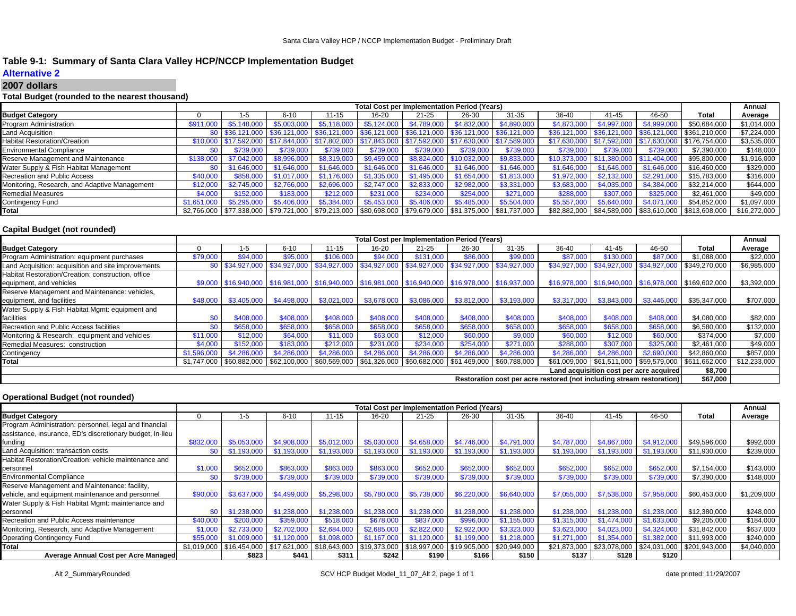# **Table 9-1: Summary of Santa Clara Valley HCP/NCCP Implementation Budget**

# **Alternative 2**

#### **2007 dollars**

### **Total Budget (rounded to the nearest thousand)**

|                                               |             |                               |                                                                          |             |             | <b>Total Cost per Implementation Period (Years)</b>              |             |                                                                                                                      |                           |                                        |              |                                                            | Annual       |
|-----------------------------------------------|-------------|-------------------------------|--------------------------------------------------------------------------|-------------|-------------|------------------------------------------------------------------|-------------|----------------------------------------------------------------------------------------------------------------------|---------------------------|----------------------------------------|--------------|------------------------------------------------------------|--------------|
| <b>Budget Category</b>                        |             | 1-5                           | $6 - 10$                                                                 | 11-15       | 16-20       | $21 - 25$                                                        | 26-30       | $31 - 35$                                                                                                            | 36-40                     | 41-45                                  | 46-50        | Total                                                      | Average      |
| Program Administration                        | \$911,000   | \$5,148,00                    | \$5,003,000                                                              | \$5.118,000 | \$5.124,000 | \$4.789.000                                                      | \$4.832,000 | \$4,890,000                                                                                                          | \$4,873,000               | \$4,997,000                            | \$4,999,000  | \$50,684,000                                               | \$1,014,000  |
| Land Acquisition                              |             | \$0 \$36.121.000 \$36.121.000 |                                                                          |             |             | $\mid$ \$36,121,000   \$36,121,000   \$36,121,000   \$36,121,000 |             | \$36,121,000                                                                                                         | \$36,121,000              | \$36.121,000                           | \$36,121,000 | $9 - $361,210,000$                                         | \$7,224,000  |
| <b>Habitat Restoration/Creation</b>           |             | $\frac{1}{2}$ \$17.592.000    | \$17,844,000   \$17,802,000   \$17,843,000   \$17,592,000   \$17,630,000 |             |             |                                                                  |             | \$17,589,000                                                                                                         | \$17.630.000 \$17.592.000 |                                        | \$17,630,000 | \$176,754,000                                              | \$3,535,000  |
| <b>Environmental Compliance</b>               | \$0         | \$739,000                     | \$739,000                                                                | \$739,000   | \$739,000   | \$739,000                                                        | \$739,000   | \$739,000                                                                                                            | \$739,000                 | \$739,000                              | \$739,000    | \$7,390,000                                                | \$148,000    |
| Reserve Management and Maintenance            | \$138,000   | \$7.042.000                   | \$8,996,000                                                              | \$8,319,000 | \$9,459,000 | \$8,824,000 \$10,032,000                                         |             | \$9,833,000                                                                                                          |                           | \$10,373,000 \$11,380,000 \$11,404,000 |              | \$95,800,000                                               | \$1,916,000  |
| Water Supply & Fish Habitat Management        | \$0         | \$1.646.000                   | \$1,646,000                                                              | \$1,646,000 | \$1,646,000 | \$1.646.000                                                      | \$1,646,000 | \$1.646.000                                                                                                          | \$1.646,000               | \$1,646,000                            | \$1,646,000  | \$16,460,000                                               | \$329,000    |
| Recreation and Public Access                  | \$40,000    | \$858,000                     | \$1.017.000                                                              | \$1.176.000 | \$1,335,000 | \$1.495.000                                                      | \$1.654.000 | \$1,813,000                                                                                                          | \$1.972,000               |                                        | \$2,291,000  | \$15,783,000                                               | \$316,000    |
| Monitoring, Research, and Adaptive Management | \$12,000    | \$2,745,000                   | \$2.766.000                                                              | \$2,696,000 | \$2.747.000 | \$2.833.000                                                      | \$2,982,000 | \$3.331.000                                                                                                          | \$3,683,000               | \$4,035,000                            | \$4,384,000  | \$32.214.000                                               | \$644,000    |
| <b>Remedial Measures</b>                      | \$4,000     | \$152,000                     | \$183,000                                                                | \$212,000   | \$231,000   | \$234,000                                                        | \$254,000   | \$271.000                                                                                                            | \$288,000                 | \$307,000                              | \$325,000    | \$2.461.000                                                | \$49,000     |
| Contingency Fund                              | \$1.651.000 | \$5,295,000                   | \$5,406,000                                                              | \$5,384,000 | \$5,453,000 | \$5,406,000                                                      | \$5.485.000 | \$5,504,000                                                                                                          | \$5,557,000               | \$5,640,000                            | \$4,071,000  | \$54,852,000                                               | \$1,097,000  |
| Total                                         |             |                               |                                                                          |             |             |                                                                  |             | \$2,766,000   \$77,338,000   \$79,721,000   \$79,213,000   \$80,698,000   \$79,679,000   \$81,375,000   \$81,737,000 |                           |                                        |              | \$82,882,000   \$84,589,000   \$83,610,000   \$813,608,000 | \$16,272,000 |

### **Capital Budget (not rounded)**

|                                                                       |                  |             |             |                                        |             | <b>Total Cost per Implementation Period (Years)</b>                                                            |                           |             |             |             |                                                      |                                                            | Annual       |
|-----------------------------------------------------------------------|------------------|-------------|-------------|----------------------------------------|-------------|----------------------------------------------------------------------------------------------------------------|---------------------------|-------------|-------------|-------------|------------------------------------------------------|------------------------------------------------------------|--------------|
| <b>Budget Category</b>                                                |                  | 1-5         | $6 - 10$    | $11 - 15$                              | 16-20       | $21 - 25$                                                                                                      | 26-30                     | $31 - 35$   | 36-40       | $41 - 45$   | 46-50                                                | Total                                                      | Average      |
| Program Administration: equipment purchases                           | \$79,000         | \$94,000    | \$95,000    | \$106,000                              | \$94,000    | \$131,000                                                                                                      | \$86,000                  | \$99,000    | \$87,000    | \$130,000   | \$87,00                                              | \$1,088,000                                                | \$22,000     |
| Land Acquisition: acquisition and site improvements                   | \$0 <sub>1</sub> |             |             |                                        |             | \$34,927,000  \$34,927,000  \$34,927,000  \$34,927,000  \$34,927,000  \$34,927,000  \$34,927,000               |                           |             |             |             | \$34,927,000 \$34,927,000 \$34,927,000 \$349,270,000 |                                                            | \$6,985,000  |
| Habitat Restoration/Creation: construction, office                    |                  |             |             |                                        |             |                                                                                                                |                           |             |             |             |                                                      |                                                            |              |
| equipment, and vehicles                                               |                  |             |             |                                        |             | \$9,000 \$16,940,000 \$16,981,000 \$16,940,000 \$16,981,000 \$16,940,000 \$16,978,000 \$16,937,000             |                           |             |             |             | \$16,978,000 \$16,940,000 \$16,978,000 \$169,602,000 |                                                            | \$3,392,000  |
| Reserve Management and Maintenance: vehicles,                         |                  |             |             |                                        |             |                                                                                                                |                           |             |             |             |                                                      |                                                            |              |
| equipment, and facilities                                             | \$48,000         | \$3,405,000 |             | $$4,498,000$ $$3,021,000$ $$3,678,000$ |             |                                                                                                                | $$3,086,000$ $$3,812,000$ | \$3,193,000 | \$3,317,000 | \$3,843,000 | \$3,446,000                                          | \$35,347,000                                               | \$707,000    |
| Water Supply & Fish Habitat Mgmt: equipment and                       |                  |             |             |                                        |             |                                                                                                                |                           |             |             |             |                                                      |                                                            |              |
| facilities                                                            | \$0              | \$408,000   | \$408,000   | \$408,000                              | \$408,000   | \$408,000                                                                                                      | \$408,000                 | \$408,000   | \$408,000   | \$408,000   | \$408,000                                            | \$4,080,000                                                | \$82,000     |
| Recreation and Public Access facilities                               | \$0              | \$658,000   | \$658,000   | \$658,000                              | \$658,000   | \$658,000                                                                                                      | \$658,000                 | \$658,000   | \$658,000   | \$658,000   | \$658,000                                            | \$6,580,000                                                | \$132,000    |
| Monitoring & Research: equipment and vehicles                         | \$11,000         | \$12,000    | \$64,000    | \$11,000                               | \$63,000    | \$12,000                                                                                                       | \$60,000                  | \$9,000     | \$60,000    | \$12,000    | \$60,000                                             | \$374,000                                                  | \$7,000      |
| Remedial Measures: construction                                       | \$4,000          | \$152,000   | \$183,000   | \$212,000                              | \$231,000   | \$234,000                                                                                                      | \$254.000                 | \$271,000   | \$288,000   | \$307,000   | \$325,000                                            | \$2,461,000                                                | \$49,000     |
| Contingency                                                           | \$1,596,000      | \$4,286,000 | \$4,286,000 | \$4,286,000                            | \$4,286,000 | \$4,286,000                                                                                                    | \$4,286,000               | \$4,286,000 | \$4,286,000 | \$4,286,000 | \$2,690,000                                          | \$42,860,000                                               | \$857,000    |
| Total                                                                 |                  |             |             |                                        |             | $$1,747,000$  \$60,882,000  \$62,100,000  \$60,569,000  \$61,326,000  \$60,682,000  \$61,469,000  \$60,788,000 |                           |             |             |             |                                                      | \$61,009,000   \$61,511,000   \$59,579,000   \$611,662,000 | \$12,233,000 |
| Land acquisition cost per acre acquired                               |                  |             |             |                                        |             |                                                                                                                |                           |             |             |             |                                                      |                                                            |              |
| Restoration cost per acre restored (not including stream restoration) |                  |             |             |                                        |             |                                                                                                                |                           |             |             |             |                                                      | \$67,000                                                   |              |

### **Operational Budget (not rounded)**

|                                                           | <b>Total Cost per Implementation Period (Years)</b><br>$31 - 35$<br>36-40<br>46-50<br>$6 - 10$<br>26-30<br>$41 - 45$<br>11-15<br>16-20<br>$21 - 25$<br>1-5<br>\$5,012,000<br>\$5,030,000<br>\$4,787,000<br>\$4,867,000<br>\$4,912,000<br>\$832,000<br>\$5.053.000<br>\$4,908,000<br>\$4.658.000<br>\$4,746,000<br>\$4,791,000<br>\$1,193,000<br>\$1.193.000<br>\$1,193,000<br>\$1,193,000<br>\$1,193,000<br>\$1,193,000<br>\$1,193,000<br>\$1.193.000<br>\$1,193,000<br>\$1,193,000<br>\$0<br>\$863,000<br>\$652,000<br>\$652,000<br>\$1,000<br>\$863,000<br>\$863,000<br>\$652,000<br>\$652,000<br>\$652,000<br>\$652,000<br>\$652,000<br>\$739,000<br>\$739,000<br>\$739,000<br>\$0<br>\$739,000<br>\$739,000<br>\$739,000<br>\$739,000<br>\$739,000<br>\$739,000<br>\$739,000 |             |             |                                     |                                                                                                                              |               |             |             |              |                           | Annual      |               |             |
|-----------------------------------------------------------|----------------------------------------------------------------------------------------------------------------------------------------------------------------------------------------------------------------------------------------------------------------------------------------------------------------------------------------------------------------------------------------------------------------------------------------------------------------------------------------------------------------------------------------------------------------------------------------------------------------------------------------------------------------------------------------------------------------------------------------------------------------------------------|-------------|-------------|-------------------------------------|------------------------------------------------------------------------------------------------------------------------------|---------------|-------------|-------------|--------------|---------------------------|-------------|---------------|-------------|
| <b>Budget Category</b>                                    |                                                                                                                                                                                                                                                                                                                                                                                                                                                                                                                                                                                                                                                                                                                                                                                  |             |             |                                     |                                                                                                                              |               |             |             |              |                           |             | Total         | Average     |
| Program Administration: personnel, legal and financial    |                                                                                                                                                                                                                                                                                                                                                                                                                                                                                                                                                                                                                                                                                                                                                                                  |             |             |                                     |                                                                                                                              |               |             |             |              |                           |             |               |             |
| assistance, insurance, ED's discretionary budget, in-lieu |                                                                                                                                                                                                                                                                                                                                                                                                                                                                                                                                                                                                                                                                                                                                                                                  |             |             |                                     |                                                                                                                              |               |             |             |              |                           |             |               |             |
| funding                                                   |                                                                                                                                                                                                                                                                                                                                                                                                                                                                                                                                                                                                                                                                                                                                                                                  |             |             |                                     |                                                                                                                              |               |             |             |              |                           |             | \$49,596,000  | \$992,000   |
| Land Acquisition: transaction costs                       |                                                                                                                                                                                                                                                                                                                                                                                                                                                                                                                                                                                                                                                                                                                                                                                  |             |             |                                     |                                                                                                                              |               |             |             |              |                           |             | \$11.930.000  | \$239,000   |
| Habitat Restoration/Creation: vehicle maintenance and     |                                                                                                                                                                                                                                                                                                                                                                                                                                                                                                                                                                                                                                                                                                                                                                                  |             |             |                                     |                                                                                                                              |               |             |             |              |                           |             |               |             |
| personnel                                                 |                                                                                                                                                                                                                                                                                                                                                                                                                                                                                                                                                                                                                                                                                                                                                                                  |             |             |                                     |                                                                                                                              |               |             |             |              |                           |             | \$7,154,000   | \$143,000   |
| <b>Environmental Compliance</b>                           |                                                                                                                                                                                                                                                                                                                                                                                                                                                                                                                                                                                                                                                                                                                                                                                  |             |             |                                     |                                                                                                                              |               |             |             |              |                           |             | \$7,390,000   | \$148,000   |
| Reserve Management and Maintenance: facility,             |                                                                                                                                                                                                                                                                                                                                                                                                                                                                                                                                                                                                                                                                                                                                                                                  |             |             |                                     |                                                                                                                              |               |             |             |              |                           |             |               |             |
| vehicle, and equipment maintenance and personnel          | \$90,000                                                                                                                                                                                                                                                                                                                                                                                                                                                                                                                                                                                                                                                                                                                                                                         | \$3,637,000 |             | \$4,499,000 \$5,298,000 \$5,780,000 |                                                                                                                              | \$5,738,000   | \$6,220,000 | \$6,640,000 | \$7,055,000  | \$7,538,000               | \$7,958,000 | \$60,453,000  | \$1,209,000 |
| Water Supply & Fish Habitat Mgmt: maintenance and         |                                                                                                                                                                                                                                                                                                                                                                                                                                                                                                                                                                                                                                                                                                                                                                                  |             |             |                                     |                                                                                                                              |               |             |             |              |                           |             |               |             |
| personnel                                                 | \$0                                                                                                                                                                                                                                                                                                                                                                                                                                                                                                                                                                                                                                                                                                                                                                              | \$1,238,000 | \$1.238.000 | \$1,238,000                         | \$1,238,000                                                                                                                  | \$1.238.000 l | \$1,238,000 | \$1.238.000 | \$1,238,000  | \$1,238,000               | \$1.238.000 | \$12,380,000  | \$248,000   |
| Recreation and Public Access maintenance                  | \$40,000                                                                                                                                                                                                                                                                                                                                                                                                                                                                                                                                                                                                                                                                                                                                                                         | \$200,000   | \$359,000   | \$518,000                           | \$678,000                                                                                                                    | \$837,000     | \$996.000   | .155.000    | \$1.315,000  | \$1 474 000               | \$1,633,000 | \$9,205,000   | \$184,000   |
| Monitoring, Research, and Adaptive Management             | \$1,000                                                                                                                                                                                                                                                                                                                                                                                                                                                                                                                                                                                                                                                                                                                                                                          | \$2.733.000 | \$2,702,000 | \$2,684,000                         | \$2,685,000                                                                                                                  | \$2,822,000   | \$2,922,000 | \$3,323,000 | \$3,623,0    |                           | \$4,324,000 | \$31.842.000  | \$637,000   |
| <b>Operating Contingency Fund</b>                         | \$55,000                                                                                                                                                                                                                                                                                                                                                                                                                                                                                                                                                                                                                                                                                                                                                                         | \$1,009,000 | \$1,120,000 | \$1,098,000                         | \$1,167,000                                                                                                                  | \$1,120,000   | .199.000    | \$1,218,000 | \$1,271,000  | .354.000                  | \$1,382,000 | \$11,993,000  | \$240,000   |
| <b>Total</b>                                              |                                                                                                                                                                                                                                                                                                                                                                                                                                                                                                                                                                                                                                                                                                                                                                                  |             |             |                                     | $$1,019,000$   $$16,454,000$   $$17,621,000$   $$18,643,000$   $$19,373,000$   $$18,997,000$   $$19,905,000$   $$20,949,000$ |               |             |             | \$21.873.000 | \$23,078,000 \$24,031,000 |             | \$201,943,000 | \$4,040,000 |
| Average Annual Cost per Acre Managed                      |                                                                                                                                                                                                                                                                                                                                                                                                                                                                                                                                                                                                                                                                                                                                                                                  | \$823       | \$441       | \$311                               | \$242                                                                                                                        | \$190         | \$166       | \$150       | \$137        | \$128                     | \$120       |               |             |